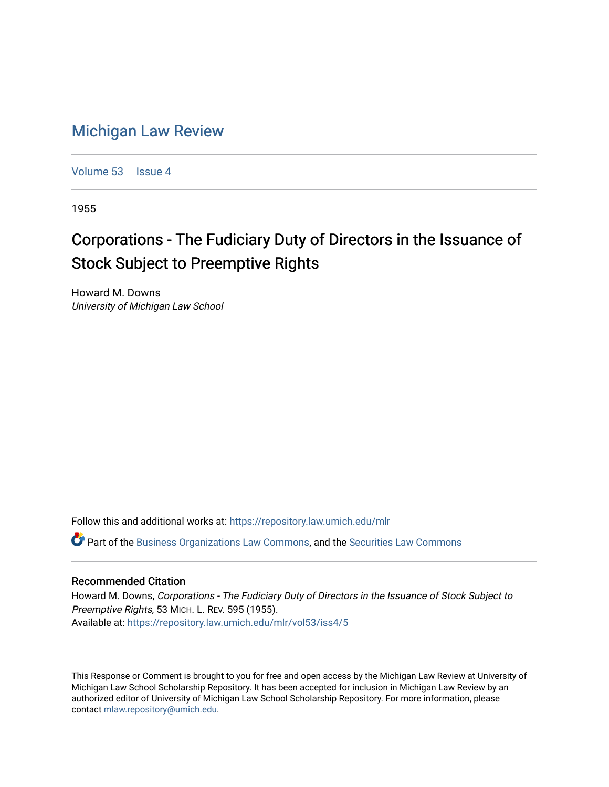## [Michigan Law Review](https://repository.law.umich.edu/mlr)

[Volume 53](https://repository.law.umich.edu/mlr/vol53) | [Issue 4](https://repository.law.umich.edu/mlr/vol53/iss4)

1955

# Corporations - The Fudiciary Duty of Directors in the Issuance of Stock Subject to Preemptive Rights

Howard M. Downs University of Michigan Law School

Follow this and additional works at: [https://repository.law.umich.edu/mlr](https://repository.law.umich.edu/mlr?utm_source=repository.law.umich.edu%2Fmlr%2Fvol53%2Fiss4%2F5&utm_medium=PDF&utm_campaign=PDFCoverPages) 

 $\bullet$  Part of the [Business Organizations Law Commons](http://network.bepress.com/hgg/discipline/900?utm_source=repository.law.umich.edu%2Fmlr%2Fvol53%2Fiss4%2F5&utm_medium=PDF&utm_campaign=PDFCoverPages), and the Securities Law Commons

#### Recommended Citation

Howard M. Downs, Corporations - The Fudiciary Duty of Directors in the Issuance of Stock Subject to Preemptive Rights, 53 MICH. L. REV. 595 (1955). Available at: [https://repository.law.umich.edu/mlr/vol53/iss4/5](https://repository.law.umich.edu/mlr/vol53/iss4/5?utm_source=repository.law.umich.edu%2Fmlr%2Fvol53%2Fiss4%2F5&utm_medium=PDF&utm_campaign=PDFCoverPages)

This Response or Comment is brought to you for free and open access by the Michigan Law Review at University of Michigan Law School Scholarship Repository. It has been accepted for inclusion in Michigan Law Review by an authorized editor of University of Michigan Law School Scholarship Repository. For more information, please contact [mlaw.repository@umich.edu](mailto:mlaw.repository@umich.edu).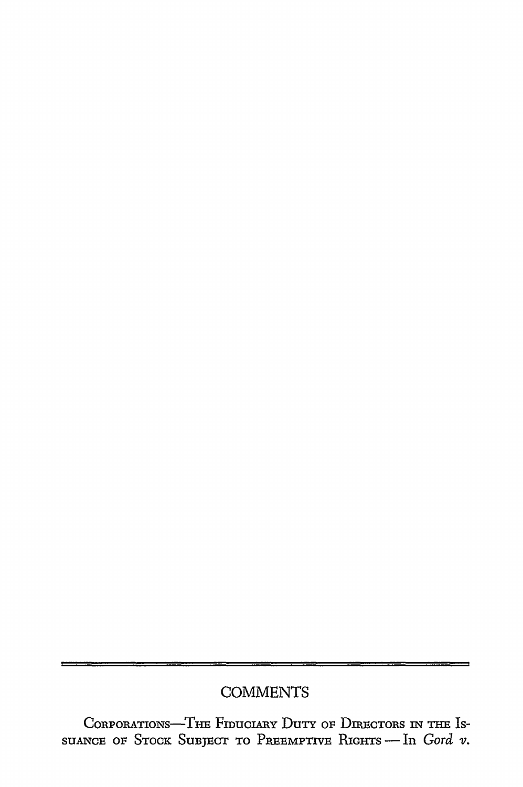## **COMMENTS**

CORPORATIONS-THE FIDUCIARY DUTY OF DIRECTORS IN THE ISsuANCE OF STOCK SUBJECT TO PREEMPTIVE RIGHTS - In *Gord v*.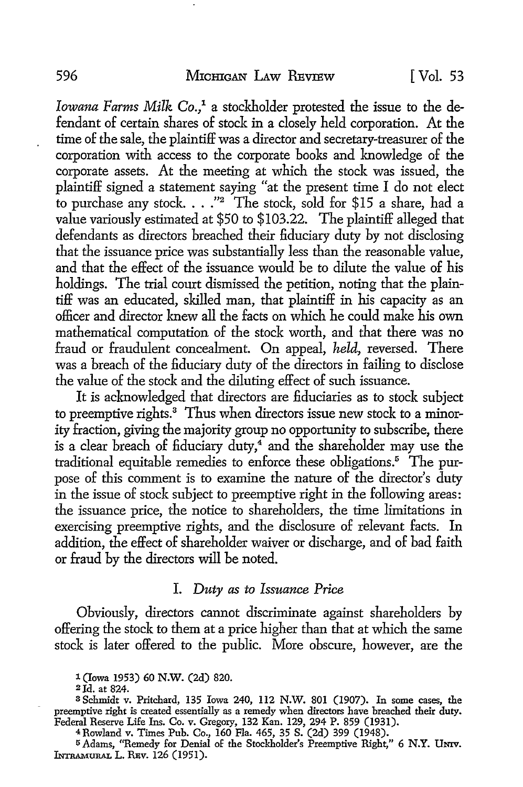*Iowana Farms Milk Co.,* 1 a stockholder protested the issue to the defendant of certain shares of stock in a closely held corporation. At the time of the sale, the plaintiff was a director and secretary-treasurer of the corporation with access to the corporate books and knowledge of the corporate assets. At the meeting at which the stock was issued, the plaintiff signed a statement saying "at the present time I do not elect to purchase any stock.  $\ldots$  "2 The stock, sold for \$15 a share, had a value variously estimated at \$50 to \$103.22. The plaintiff alleged that defendants as directors breached their fiduciary duty by not disclosing that the issuance price was substantially less than the reasonable value, and that the effect of the issuance would be to dilute the value of his holdings. The trial court dismissed the petition, noting that the plaintiff was an educated, skilled man, that plaintiff in his capacity as an officer and director knew all the facts on which he could make his own mathematical computation of the stock worth, and that there was no fraud or fraudulent concealment. On appeal, *held,* reversed. There was a breach of the fiduciary duty of the directors in failing to disclose the value of the stock and the diluting effect of such issuance.

It is acknowledged that directors are fiduciaries as to stock subject to preemptive rights.<sup>3</sup> Thus when directors issue new stock to a minority fraction, giving the majority group no opportunity to subscribe, there is a clear breach of fiduciary duty,<sup>4</sup> and the shareholder may use the traditional equitable remedies to enforce these obligations.5 The purpose of this comment is to examine the nature of the director's duty in the issue of stock subject to preemptive right in the following areas: the issuance price, the notice to shareholders, the time limitations in exercising preemptive rights, and the disclosure of relevant facts. In addition, the effect of shareholder waiver or discharge, and of bad faith or fraud by the directors will be noted.

#### I. *Duty as to Issuance Price*

Obviously, directors cannot discriminate against shareholders by offering the stock to them at a price higher than that at which the same stock is later offered to the public. More obscure, however, are the

1 (Iowa 1953) 60 N.W. (2d) 820.

2Jd. at 824.

<sup>3</sup>Schmidt v. Pritchard, 135 Iowa 240, 112 N.W. 801 (1907). In some cases, the preemptive right is created essentially as a remedy when directors have breached their duty. Federal Reserve Life Ins. Co. v. Gregory, 132 Kan. 129, 294 P. 859 (1931).

<sup>4</sup>Rowland v. Times Pub. Co., 160 Fla. 465, 35 S. (2d) 399 (1948).

<sup>5</sup>Adams, ''Remedy for Denial of the Stockholder's Preemptive Right," 6 N.Y. UNIV. INTRAMURAL L. REV. 126 (1951).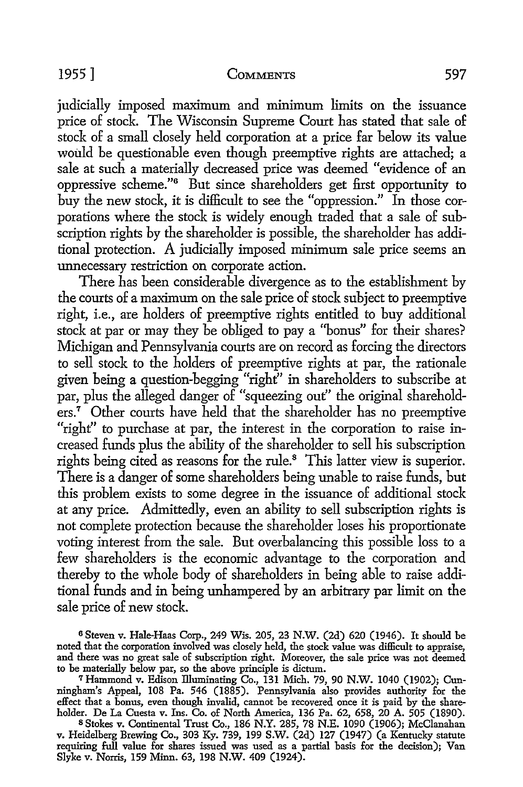judicially imposed maximum and minimum limits on the issuance price of stock. The Wisconsin Supreme Court has stated that sale of stock of a small closely held corporation at a price far below its value would be questionable even though preemptive rights are attached; a sale at such a materially decreased price was deemed "evidence of an oppressive scheme."6 But since shareholders get first opportunity to buy the new stock, it is difficult to see the "oppression." In those corporations where the stock is widely enough traded that a sale of subscription rights by the shareholder is possible, the shareholder has additional protection. A judicially imposed minimum sale price seems an unnecessary restriction on corporate action.

There has been considerable divergence as to the establishment by the courts of a maximum on the sale price of stock subject to preemptive right, i.e., are holders of preemptive rights entitled to buy additional stock at par or may they be obliged to pay a ''bonus" for their shares? Michigan and Pennsylvania courts are on record as forcing the directors to sell stock *to* the holders of preemptive rights at par, the rationale given being a question-begging "right" in shareholders to subscribe at par, plus the alleged danger of "squeezing out'' the original shareholders.<sup>7</sup> Other courts have held that the shareholder has no preemptive "right" to purchase at par, the interest in the corporation to raise increased funds plus the ability of the shareholder to sell his subscription rights being cited as reasons for the rule.<sup>8</sup> This latter view is superior. There is a danger of some shareholders being unable to raise funds, but this problem exists to some degree in the issuance of additional stock at any price. Admittedly, even an ability to sell subscription rights is not complete protection because the shareholder loses his proportionate voting interest from the sale. But overbalancing this possible loss to a few shareholders is the economic advantage *to* the corporation and thereby *to* the whole body of shareholders in being able *to* raise additional funds and in being unhampered by an arbitrary par limit on the sale price of new stock.

<sup>6</sup>Steven v. Hale-Haas Corp., 249 Wis. 205, 23 N.W. (2d) 620 (1946). It should be noted that the corporation involved was closely held, the stock value was difficult to appraise, and there was no great sale of subscription right. Moreover, the sale price was not deemed to be materially below par, so the above principle is dictum.

<sup>7</sup> Hammond v. Edison illuminating Co., 131 Mich. 79, 90 N.W. 1040 (1902); Cunningham's Appeal, 108 Pa. 546 (1885). Pennsylvania also provides authority for the effect that a bonus, even though invalid, cannot be recovered once it is paid by the shareholder. De La Cuesta v. Ins. Co. of North America, 136 Pa. 62, 658, 20 A. 505 (1890).

<sup>8</sup>Stokes v. Continental Trust Co., 186 N.Y. 285, 78 N.E. 1090 (1906); McClanahan v. Heidelberg Brewing Co., 303 Ky. 739, 199 S.W. (2d) 127 (1947) (a Kentucky statute requiring full value for shares issued was used as a partial basis for the decision); Van Slyke v. Norris, 159 Minn. 63, 198 N.W. 409 (1924).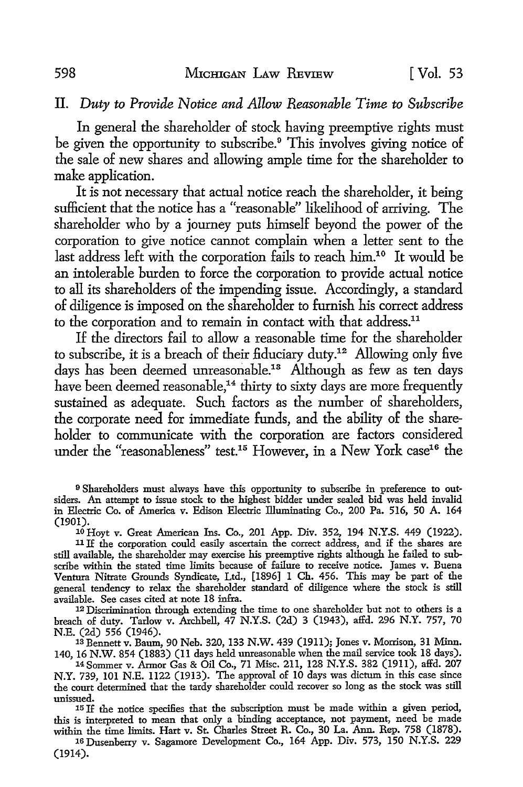### IL *Duty to Provide Notice and Allow Reasonable Time to Subscribe*

In general the shareholder of stock having preemptive rights must be given the opportunity to subscribe.<sup>9</sup> This involves giving notice of the sale of new shares and allowing ample time for the shareholder to make application.

It is not necessary that actual notice reach the shareholder, it being sufficient that the notice has a "reasonable" likelihood of arriving. The shareholder who by a journey puts himself beyond the power of the corporation to give notice cannot complain when a letter sent to the last address left with the corporation fails to reach him.10 It would be an intolerable burden to force the corporation to provide actual notice to all its shareholders of the impending issue. Accordingly, a standard of diligence is imposed on the shareholder to furnish his correct address to the corporation and to remain in contact with that address.<sup>11</sup>

If the directors fail to allow a reasonable time for the shareholder to subscribe, it is a breach of their fiduciary duty.<sup>12</sup> Allowing only five days has been deemed unreasonable.<sup>13</sup> Although as few as ten days have been deemed reasonable,<sup>14</sup> thirty to sixty days are more frequently sustained as adequate. Such factors as the number of shareholders, the corporate need for immediate funds, and the ability of the shareholder to communicate with the corporation are factors considered under the "reasonableness" test.<sup>15</sup> However, in a New York case<sup>16</sup> the

9 Shareholders must always have this opportunity to subscribe in preference to outsiders. An attempt to issue stock to the highest bidder under sealed bid was held invalid in Electric Co. of America v. Edison Electric illuminating Co., 200 Pa. 516, 50 A. 164

<sup>10</sup> Hoyt v. Great American Ins. Co., 201 App. Div. 352, 194 N.Y.S. 449 (1922). 11 If the corporation could easily ascertain the correct address, and if the shares are still available, the shareholder may exercise his preemptive rights although he failed to subscribe within the stated time limits because of failure to receive notice. James v. Buena Ventura Nitrate Grounds Syndicate, Ltd., [1896] 1 Ch. 456. This may be part of the general tendency to relax the shareholder standard of diligence where the stock is still

 $12$  Discrimination through extending the time to one shareholder but not to others is a breach of duty. Tarlow v. Archbell, 47 N.Y.S. (2d) 3 (1943), affd. 296 N.Y. 757, 70

13 Bennett v. Baum, 90 Neb. 320, 133 N.W. 439 (1911); Jones v. Morrison, 31 Minn. 140, 16 N.W. 854 (1883) (11 days held unreasonable when the mail service took 18 days).

14 Sommer v. Armor Gas & Oil Co., 71 Misc. 211, 128 N.Y.S. 382 (1911), affd. 207 N.Y. 739, 101 N.E. 1122 (1913). The approval of 10 days was dictum in this case since the court determined that the tardy shareholder could recover so long as the stock was still

unissued. 15 If the notice specifies that the subscription must be made within a given period, this is interpreted to mean that only a binding acceptance, not payment, need be made within the time limits. Hart v. St. Charles Street R. Co., 30 La. Ann. Rep. 758 (1878).

16 Dusenberry v. Sagamore Development Co., 164 App. Div. 573, 150 N.Y.S. 229 (1914).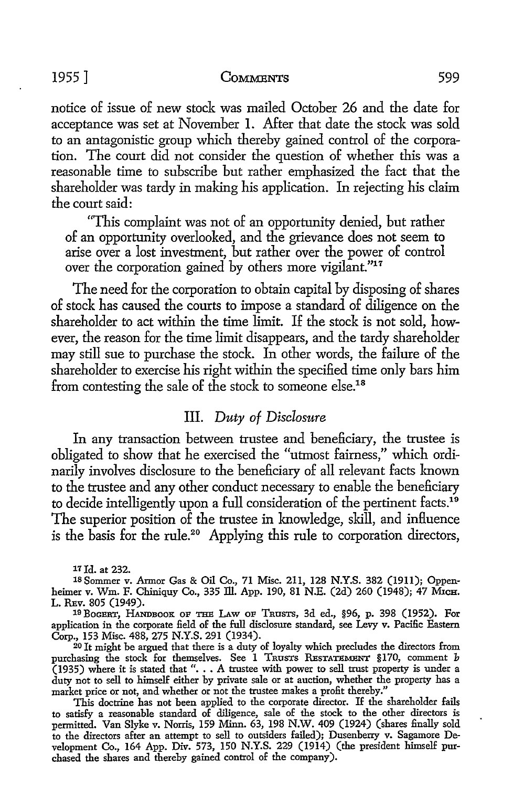#### 1955] COMMENTS 599

notice of issue of new stock was mailed October 26 and the date for acceptance was set at November I. After that date the stock was sold to an antagonistic group which thereby gained control of the corporation. The court did not consider the question of whether this was a reasonable time to subscribe but rather emphasized the fact that the shareholder was tardy in making his application. In rejecting his claim the court said:

"This complaint was not of an opportunity denied, but rather of an opportunity overlooked, and the grievance does not seem to arise over a lost investment, but rather over the power of control over the corporation gained by others more vigilant."17

The need for the corporation to obtain capital by disposing of shares of stock has caused the courts to impose a standard of diligence on the shareholder to act within the time limit. If the stock is not sold, however, the reason for the time limit disappears, and the tardy shareholder may still sue to purchase the stock. In other words, the failure of the shareholder to exercise his right within the specified time only bars him from contesting the sale of the stock to someone else.<sup>18</sup>

#### III. *Duty of Disclosure*

In any transaction between trustee and beneficiary, the trustee is obligated to show that he exercised the "utmost fairness," which ordinarily involves disclosure to the beneficiary of all relevant facts known to the trustee and any other conduct necessary to enable the beneficiary to decide intelligently upon a full consideration of the pertinent facts.<sup>19</sup> The superior position of the trustee in knowledge, skill, and influence is the basis for the rule.<sup>20</sup> Applying this rule to corporation directors,

*11* Id. at 232.

18 Sommer v. Armor Gas & Oil Co., 71 Misc. 211, 128 N.Y.S. 382 (1911); Oppenheimer v. Wm. F. Chiniquy Co., 335 ID. App. 190, 81 N.E. (2d) 260 (1948); 47 MICH. L. REv. 805 (1949).

10 BoGBRT, HANDBOOK oF THE I.Aw oF TRUSTS, 3d ed., §96, p. 398 (1952). For application in the corporate field of the full disclosure standard, see Levy v. Pacific Eastern Corp., 153 Misc. 488, 275 N.Y.S. 291 (1934).

20 It might be argued that there is a duty of loyalty which precludes the directors from purchasing the stock for themselves. See 1 TRUSTS RESTATEMENT §170, comment  $b$ (1935) where it is stated that " $\ldots$  A trustee with power to sell trust property is under a duty not to sell to himself either by private sale or at auction, whether the property has a market price or not, and whether or not the trustee makes a profit thereby."

This doctrine has not been applied to the corporate director. If the shareholder fails to satisfy a reasonable standard of diligence, sale of the stock to the other directors is permitted. Van Slyke v. Norris, 159 Minn. 63, 198 N.W. 409 (1924) (shares finally sold to the directors after an attempt to sell to outsiders failed); Dusenberry v. Sagamore Development Co., 164 App. Div. 573, 150 N.Y.S. 229 (1914) (the president himself purchased the shares and thereby gained control of the company).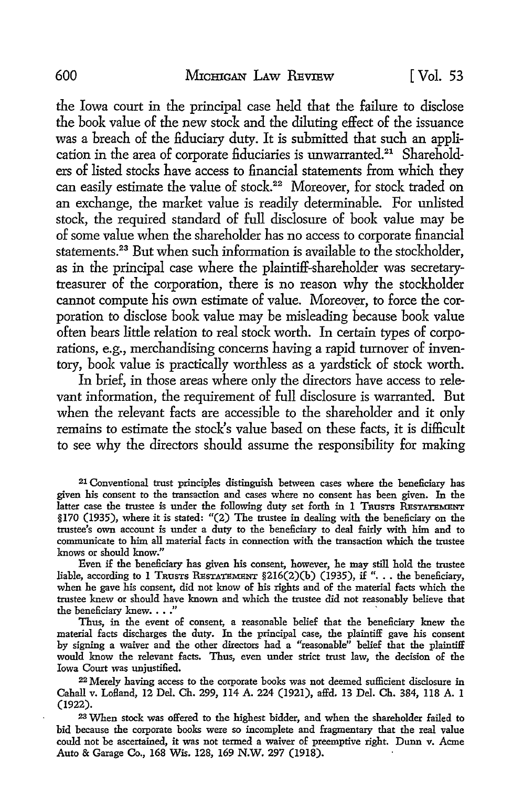the Iowa court in the principal case held that the failure to disclose the book value of the new stock and the diluting effect of the issuance was a breach of the fiduciary duty. It is submitted that such an application in the area of corporate fiduciaries is unwarranted.<sup>21</sup> Shareholders of listed stocks have access to financial statements from which they can easily estimate the value of stock.<sup>22</sup> Moreover, for stock traded on an exchange, the market value is readily determinable. For unlisted stock, the required standard of full disclosure of book value may be of some value when the shareholder has no access to corporate financial statements.<sup>23</sup> But when such information is available to the stockholder, as in the principal case where the plaintiff-shareholder was secretarytreasurer of the corporation, there is no reason why the stockholder cannot compute his own estimate of value. Moreover, to force the corporation to disclose book value may be misleading because book value often bears little relation to real stock worth. In certain types of corporations, e.g., merchandising concerns having a rapid turnover of inventory, book value is practically worthless as a yardstick of stock worth.

In brief, in those areas where only the directors have access to relevant information, the requirement of full disclosure is warranted. But when the relevant facts are accessible to the shareholder and it only remains to estimate the stock's value based on these facts, it is difficult to see why the directors should assume the responsibility for making

21 Conventional trust principles distinguish between cases where the beneficiary has given his consent to the transaction and cases where no consent has been given. In the latter case the trustee is under the following duty set forth in 1 TRUSTS RESTATEMENT §170 (1935), where it is stated: "(2) The trustee in dealing with the beneficiary on the trustee's own account is under a duty to the beneficiary to deal fairly with him and to communicate to him all material facts in connection with the transaction which the trustee knows or should know."

Even if the beneficiary has given his consent, however, he may still hold the trustee liable, according to 1 TRUSTS RESTATEMENT  $$216(2)(b) (1935)$ , if "... the beneficiary, when he gave his consent, did not know of his rights and of the material facts which the trustee knew or should have known and which the trustee did not reasonably believe that the beneficiary knew. . . ."

Thus, in the event of consent, a reasonable belief that the beneficiary knew the material facts discharges the duty. In the principal case, the plaintiff gave his consent by signing a waiver and the other directors had a "reasonable" belief that the plaintiff would know the relevant facts. Thus, even under strict trust law, the decision of the Iowa Court was unjustified.

22 Merely having access to the corporate books was not deemed sufficient disclosure in Cahall v. Lofland, 12 Del. Ch. 299, 114 A. 224 (1921), affd. 13 Del. Ch. 384, ll8 A. l (1922).

<sup>23</sup>When stock was offered to the highest bidder, and when the shareholder failed to bid because the corporate books were so incomplete and fragmentary that the real value could not be ascertained, it was not termed a waiver of preemptive right. Dunn v. Acme Auto & Garage Co., 168 Wis. 128, 169 N.W. 297 (1918).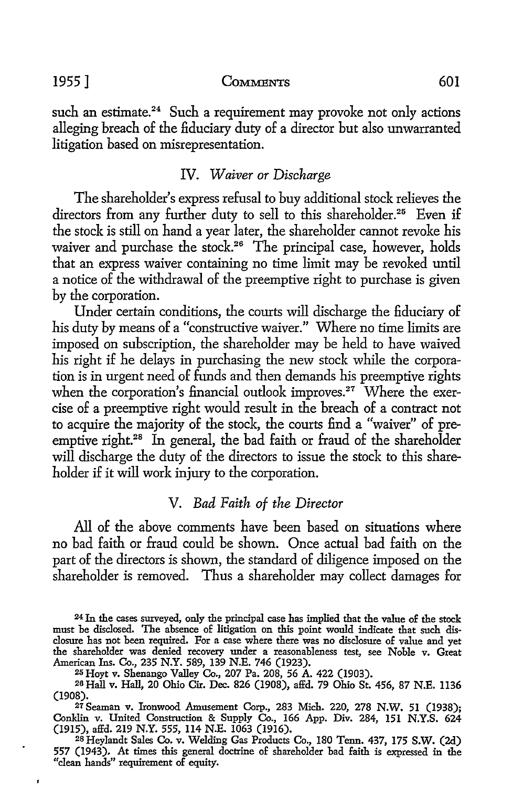1955] COMMENTS 601

such an estimate.<sup>24</sup> Such a requirement may provoke not only actions alleging breach of the fiduciary duty of a director but also unwarranted litigation based on misrepresentation.

#### IV. *Waiver or Discharge*

The shareholder's express refusal to buy additional stock relieves the directors from any further duty to sell to this shareholder.<sup>25</sup> Even if the stock is still on hand a year later, the shareholder cannot revoke his waiver and purchase the stock.<sup>26</sup> The principal case, however, holds that an express waiver containing no time limit may be revoked until a notice of the withdrawal of the preemptive right to purchase is given by the corporation.

Under certain conditions, the courts will discharge the fiduciary of his duty by means of a "constructive waiver." Where no time limits are imposed on subscription, the shareholder may be held to have waived his right if he delays in purchasing the new stock while the corporation is in urgent need of funds and then demands his preemptive rights when the corporation's financial outlook improves.<sup>27</sup> Where the exercise of a preemptive right would result in the breach of a contract not to acquire the majority of the stock, the courts find a "waiver" of preemptive right.<sup>28</sup> In general, the bad faith or fraud of the shareholder will discharge the duty of the directors to issue the stock to this shareholder if it will work injury to the corporation.

#### V. *Bad Faith of the Director*

All of the above comments have been based on situations where no bad faith or fraud could be shown. Once actual bad faith on the part of the directors is shown, the standard of diligence imposed on the shareholder is removed. Thus a shareholder may collect damages for

<sup>24</sup>In the cases surveyed, only the principal case has implied that the value of the stock must be disclosed. The absence of litigation on this point would indicate that such disclosure has not been required. For a case where there was no disclosure of value and yet the shareholder was denied recovery under a reasonableness test, see Noble v. Great American Ins. Co., 235 N.Y. 589, 139 N.E. 746 (1923). 25 Hoyt v. Shenango Valley Co., 207 Pa. 208, 56 A. 422 (1903).

<sup>2</sup>s Hall v. Hall, 20 Ohio Cir. Dec. 826 (1908), affd. 79 Ohio St. 456, 87 N.E. 1136 (1908).

<sup>27</sup> Seaman v. Ironwood Amusement Corp., 283 Mich. 220, 278 N.W. 51 (1938); Conklin v. United Construction & Supply Co., 166 App. Div. 284, 151 N.Y.S. 624<br>(1915), affd. 219 N.Y. 555, 114 N.E. 1063 (1916).

<sup>(1915),</sup> affd. 219 N.Y. 555, ll4 N.E. 1063 (1916). 2s Heylandt Sales Co. v. Welding Gas Products Co., 180 Tenn. 437, l 75 S.W. (2d) 557 (1943). At times this general doctrine of shareholder bad faith is expressed in the "clean hands" requirement of equity.